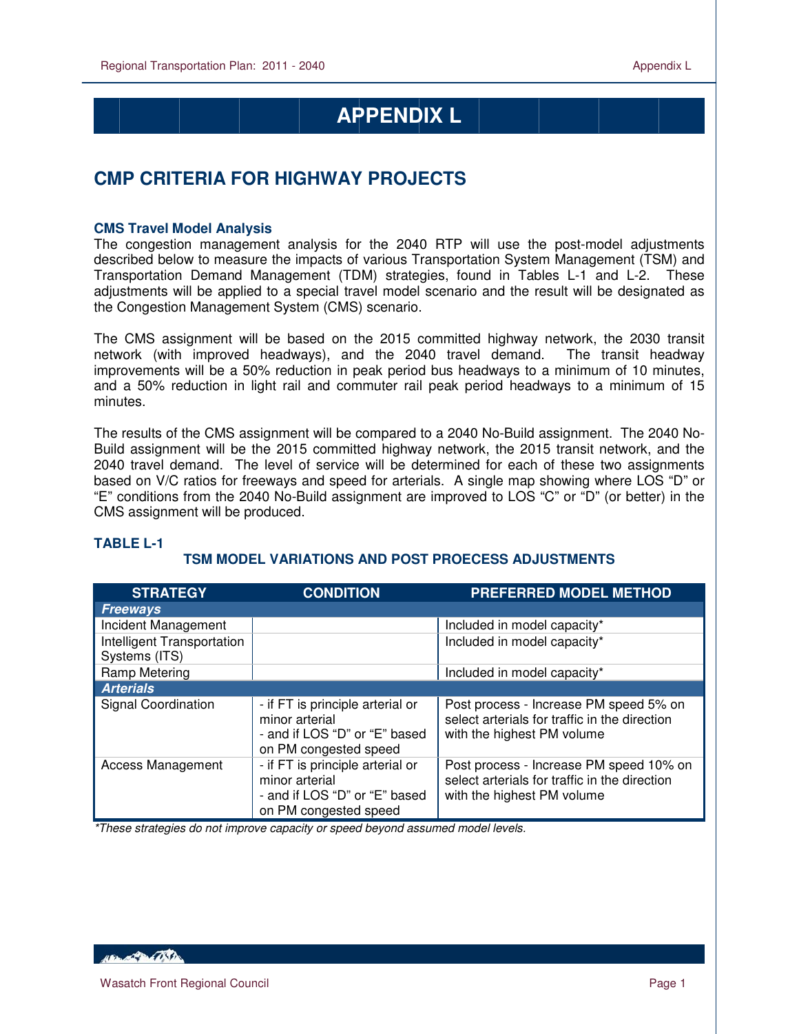# **APPENDIX L**

## **CMP CRITERIA FOR HIGHWAY PROJECTS**

#### **CMS Travel Model Analysis**

 $\overline{a}$ 

The congestion management analysis for the 2040 RTP will use the post-model adjustments described below to measure the impacts of various Transportation System Management (TSM) and Transportation Demand Management (TDM) strategies, found in Tables L-1 and L-2. These adjustments will be applied to a special travel model scenario and the result will be designated as the Congestion Management System (CMS) scenario.

The CMS assignment will be based on the 2015 committed highway network, the 2030 transit network (with improved headways), and the 2040 travel demand. The transit headway improvements will be a 50% reduction in peak period bus headways to a minimum of 10 minutes, and a 50% reduction in light rail and commuter rail peak period headways to a minimum of 15 minutes.

The results of the CMS assignment will be compared to a 2040 No-Build assignment. The 2040 No-Build assignment will be the 2015 committed highway network, the 2015 transit network, and the 2040 travel demand. The level of service will be determined for each of these two assignments based on V/C ratios for freeways and speed for arterials. A single map showing where LOS "D" or "E" conditions from the 2040 No-Build assignment are improved to LOS "C" or "D" (or better) in the CMS assignment will be produced.

#### **TABLE L-1**

#### **TSM MODEL VARIATIONS AND POST PROECESS ADJUSTMENTS**

| <b>STRATEGY</b>            | <b>CONDITION</b>                                                                                             | <b>PREFERRED MODEL METHOD</b>                                                                                          |
|----------------------------|--------------------------------------------------------------------------------------------------------------|------------------------------------------------------------------------------------------------------------------------|
| <b>Freeways</b>            |                                                                                                              |                                                                                                                        |
| Incident Management        |                                                                                                              | Included in model capacity*                                                                                            |
| Intelligent Transportation |                                                                                                              | Included in model capacity*                                                                                            |
| Systems (ITS)              |                                                                                                              |                                                                                                                        |
| Ramp Metering              |                                                                                                              | Included in model capacity*                                                                                            |
| <b>Arterials</b>           |                                                                                                              |                                                                                                                        |
| <b>Signal Coordination</b> | - if FT is principle arterial or<br>minor arterial<br>- and if LOS "D" or "E" based<br>on PM congested speed | Post process - Increase PM speed 5% on<br>select arterials for traffic in the direction<br>with the highest PM volume  |
| <b>Access Management</b>   | - if FT is principle arterial or<br>minor arterial<br>- and if LOS "D" or "E" based<br>on PM congested speed | Post process - Increase PM speed 10% on<br>select arterials for traffic in the direction<br>with the highest PM volume |

\*These strategies do not improve capacity or speed beyond assumed model levels.

**ABLACE DE LA CONTENTE**